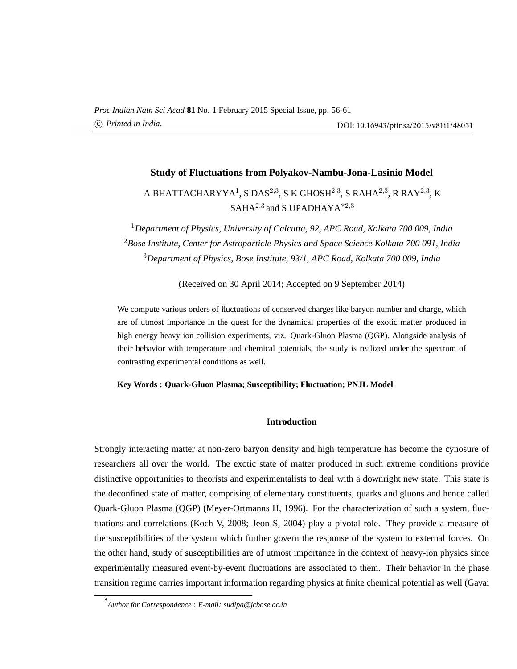# **Study of Fluctuations from Polyakov-Nambu-Jona-Lasinio Model**

# A BHATTACHARYYA $^1$ , S DAS $^{2,3}$ , S K GHOSH $^{2,3}$ , S RAHA $^{2,3}$ , R RAY $^{2,3}$ , K  $SAHA<sup>2,3</sup>$  and S UPADHAYA<sup>\*2,3</sup>

<sup>1</sup>*Department of Physics, University of Calcutta, 92, APC Road, Kolkata 700 009, India* <sup>2</sup>*Bose Institute, Center for Astroparticle Physics and Space Science Kolkata 700 091, India* <sup>3</sup>*Department of Physics, Bose Institute, 93/1, APC Road, Kolkata 700 009, India*

(Received on 30 April 2014; Accepted on 9 September 2014)

We compute various orders of fluctuations of conserved charges like baryon number and charge, which are of utmost importance in the quest for the dynamical properties of the exotic matter produced in high energy heavy ion collision experiments, viz. Quark-Gluon Plasma (QGP). Alongside analysis of their behavior with temperature and chemical potentials, the study is realized under the spectrum of contrasting experimental conditions as well.

#### **Key Words : Quark-Gluon Plasma; Susceptibility; Fluctuation; PNJL Model**

#### **Introduction**

Strongly interacting matter at non-zero baryon density and high temperature has become the cynosure of researchers all over the world. The exotic state of matter produced in such extreme conditions provide distinctive opportunities to theorists and experimentalists to deal with a downright new state. This state is the deconfined state of matter, comprising of elementary constituents, quarks and gluons and hence called Quark-Gluon Plasma (QGP) (Meyer-Ortmanns H, 1996). For the characterization of such a system, fluctuations and correlations (Koch V, 2008; Jeon S, 2004) play a pivotal role. They provide a measure of the susceptibilities of the system which further govern the response of the system to external forces. On the other hand, study of susceptibilities are of utmost importance in the context of heavy-ion physics since experimentally measured event-by-event fluctuations are associated to them. Their behavior in the phase transition regime carries important information regarding physics at finite chemical potential as well (Gavai

<sup>\*</sup> *Author for Correspondence : E-mail: sudipa@jcbose.ac.in*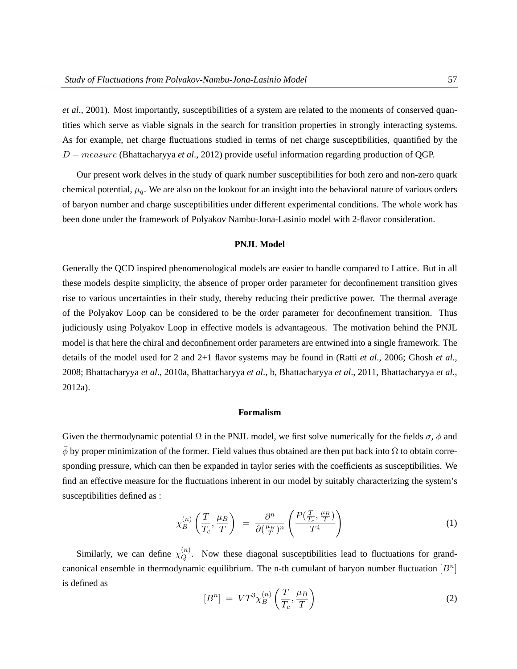*et al*., 2001). Most importantly, susceptibilities of a system are related to the moments of conserved quantities which serve as viable signals in the search for transition properties in strongly interacting systems. As for example, net charge fluctuations studied in terms of net charge susceptibilities, quantified by the D − measure (Bhattacharyya *et al*., 2012) provide useful information regarding production of QGP.

Our present work delves in the study of quark number susceptibilities for both zero and non-zero quark chemical potential,  $\mu_q$ . We are also on the lookout for an insight into the behavioral nature of various orders of baryon number and charge susceptibilities under different experimental conditions. The whole work has been done under the framework of Polyakov Nambu-Jona-Lasinio model with 2-flavor consideration.

# **PNJL Model**

Generally the QCD inspired phenomenological models are easier to handle compared to Lattice. But in all these models despite simplicity, the absence of proper order parameter for deconfinement transition gives rise to various uncertainties in their study, thereby reducing their predictive power. The thermal average of the Polyakov Loop can be considered to be the order parameter for deconfinement transition. Thus judiciously using Polyakov Loop in effective models is advantageous. The motivation behind the PNJL model is that here the chiral and deconfinement order parameters are entwined into a single framework. The details of the model used for 2 and 2+1 flavor systems may be found in (Ratti *et al*., 2006; Ghosh *et al*., 2008; Bhattacharyya *et al*., 2010a, Bhattacharyya *et al*., b, Bhattacharyya *et al*., 2011, Bhattacharyya *et al*., 2012a).

## **Formalism**

Given the thermodynamic potential  $\Omega$  in the PNJL model, we first solve numerically for the fields  $\sigma$ ,  $\phi$  and  $\phi$  by proper minimization of the former. Field values thus obtained are then put back into  $\Omega$  to obtain corresponding pressure, which can then be expanded in taylor series with the coefficients as susceptibilities. We find an effective measure for the fluctuations inherent in our model by suitably characterizing the system's susceptibilities defined as :

$$
\chi_B^{(n)}\left(\frac{T}{T_c}, \frac{\mu_B}{T}\right) = \frac{\partial^n}{\partial(\frac{\mu_B}{T})^n} \left(\frac{P(\frac{T}{T_c}, \frac{\mu_B}{T})}{T^4}\right) \tag{1}
$$

Similarly, we can define  $\chi_{\mathcal{O}}^{(n)}$  $Q^{(n)}$ . Now these diagonal susceptibilities lead to fluctuations for grandcanonical ensemble in thermodynamic equilibrium. The n-th cumulant of baryon number fluctuation  $[B<sup>n</sup>]$ is defined as  $\overline{a}$  $\mathbf{r}$ 

$$
[Bn] = VT3 \chi_B^{(n)} \left( \frac{T}{T_c}, \frac{\mu_B}{T} \right)
$$
 (2)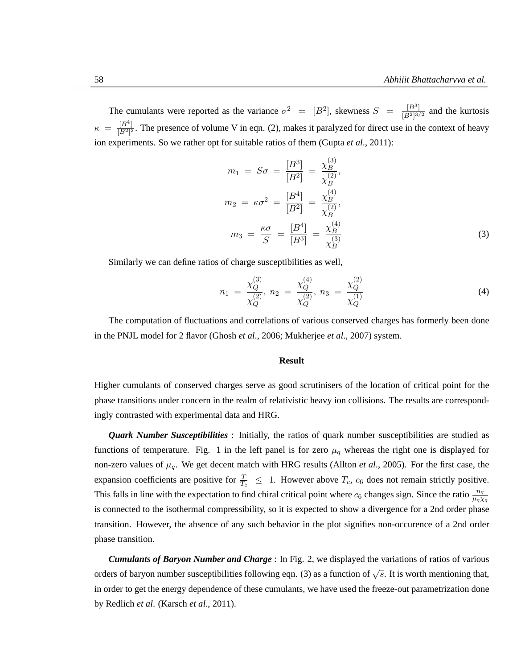The cumulants were reported as the variance  $\sigma^2 = [B^2]$ , skewness  $S = \frac{[B^3]}{[D^2]3}$  $\frac{[B^{\circ}]}{[B^2]^{3/2}}$  and the kurtosis  $\kappa = \frac{[B^4]}{[B^2]^2}$  $\frac{|B^2|}{|B^2|^2}$ . The presence of volume V in eqn. (2), makes it paralyzed for direct use in the context of heavy ion experiments. So we rather opt for suitable ratios of them (Gupta *et al*., 2011):

$$
m_1 = S\sigma = \frac{[B^3]}{[B^2]} = \frac{\chi_B^{(3)}}{\chi_B^{(2)}},
$$
  
\n
$$
m_2 = \kappa \sigma^2 = \frac{[B^4]}{[B^2]} = \frac{\chi_B^{(4)}}{\chi_B^{(2)}},
$$
  
\n
$$
m_3 = \frac{\kappa \sigma}{S} = \frac{[B^4]}{[B^3]} = \frac{\chi_B^{(4)}}{\chi_B^{(3)}}
$$
\n(3)

Similarly we can define ratios of charge susceptibilities as well,

$$
n_1 = \frac{\chi_Q^{(3)}}{\chi_Q^{(2)}}, \ n_2 = \frac{\chi_Q^{(4)}}{\chi_Q^{(2)}}, \ n_3 = \frac{\chi_Q^{(2)}}{\chi_Q^{(1)}} \tag{4}
$$

The computation of fluctuations and correlations of various conserved charges has formerly been done in the PNJL model for 2 flavor (Ghosh *et al*., 2006; Mukherjee *et al*., 2007) system.

#### **Result**

Higher cumulants of conserved charges serve as good scrutinisers of the location of critical point for the phase transitions under concern in the realm of relativistic heavy ion collisions. The results are correspondingly contrasted with experimental data and HRG.

*Quark Number Susceptibilities* : Initially, the ratios of quark number susceptibilities are studied as functions of temperature. Fig. 1 in the left panel is for zero  $\mu_q$  whereas the right one is displayed for non-zero values of  $\mu_q$ . We get decent match with HRG results (Allton *et al.*, 2005). For the first case, the expansion coefficients are positive for  $\frac{T}{T_c} \leq 1$ . However above  $T_c$ ,  $c_6$  does not remain strictly positive. This falls in line with the expectation to find chiral critical point where  $c_6$  changes sign. Since the ratio  $\frac{n_q}{\mu_q \chi_q}$ is connected to the isothermal compressibility, so it is expected to show a divergence for a 2nd order phase transition. However, the absence of any such behavior in the plot signifies non-occurence of a 2nd order phase transition.

*Cumulants of Baryon Number and Charge* : In Fig. 2, we displayed the variations of ratios of various orders of baryon number susceptibilities following eqn. (3) as a function of  $\sqrt{s}$ . It is worth mentioning that, in order to get the energy dependence of these cumulants, we have used the freeze-out parametrization done by Redlich *et al*. (Karsch *et al*., 2011).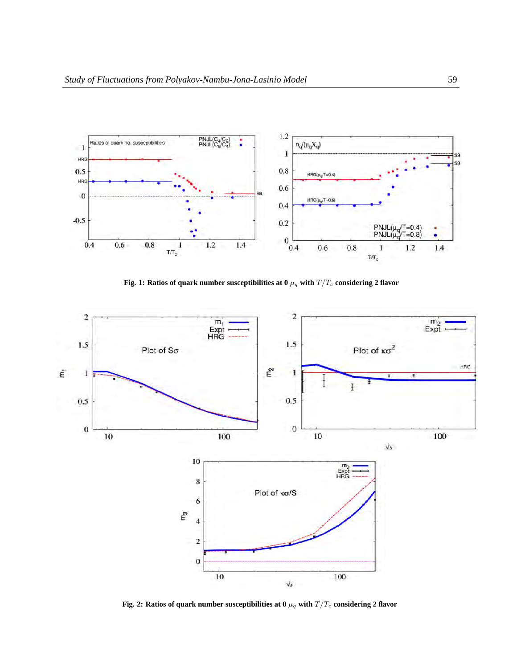

Fig. 1: Ratios of quark number susceptibilities at 0  $\mu_q$  with  $T/T_c$  considering 2 flavor



Fig. 2: Ratios of quark number susceptibilities at 0  $\mu_q$  with  $T/T_c$  considering 2 flavor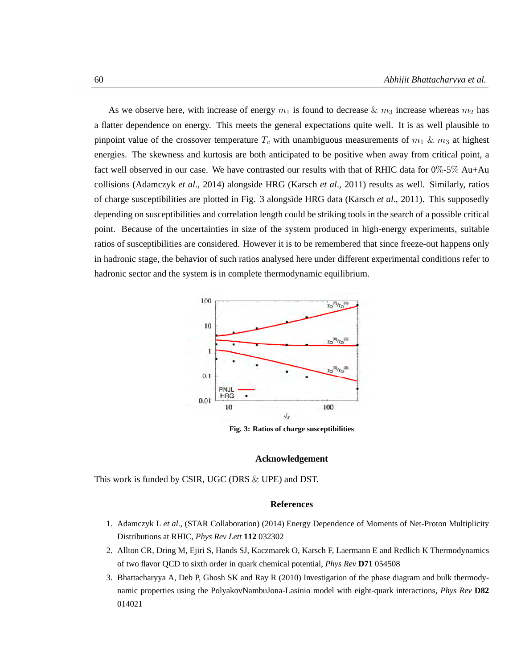As we observe here, with increase of energy  $m_1$  is found to decrease  $\& m_3$  increase whereas  $m_2$  has a flatter dependence on energy. This meets the general expectations quite well. It is as well plausible to pinpoint value of the crossover temperature  $T_c$  with unambiguous measurements of  $m_1 \& m_3$  at highest energies. The skewness and kurtosis are both anticipated to be positive when away from critical point, a fact well observed in our case. We have contrasted our results with that of RHIC data for  $0\%$ -5% Au+Au collisions (Adamczyk *et al*., 2014) alongside HRG (Karsch *et al*., 2011) results as well. Similarly, ratios of charge susceptibilities are plotted in Fig. 3 alongside HRG data (Karsch *et al*., 2011). This supposedly depending on susceptibilities and correlation length could be striking tools in the search of a possible critical point. Because of the uncertainties in size of the system produced in high-energy experiments, suitable ratios of susceptibilities are considered. However it is to be remembered that since freeze-out happens only in hadronic stage, the behavior of such ratios analysed here under different experimental conditions refer to hadronic sector and the system is in complete thermodynamic equilibrium.



**Fig. 3: Ratios of charge susceptibilities**

# **Acknowledgement**

This work is funded by CSIR, UGC (DRS & UPE) and DST.

## **References**

- 1. Adamczyk L *et al*., (STAR Collaboration) (2014) Energy Dependence of Moments of Net-Proton Multiplicity Distributions at RHIC, *Phys Rev Lett* **112** 032302
- 2. Allton CR, Dring M, Ejiri S, Hands SJ, Kaczmarek O, Karsch F, Laermann E and Redlich K Thermodynamics of two flavor QCD to sixth order in quark chemical potential, *Phys Rev* **D71** 054508
- 3. Bhattacharyya A, Deb P, Ghosh SK and Ray R (2010) Investigation of the phase diagram and bulk thermodynamic properties using the PolyakovNambuJona-Lasinio model with eight-quark interactions, *Phys Rev* **D82** 014021